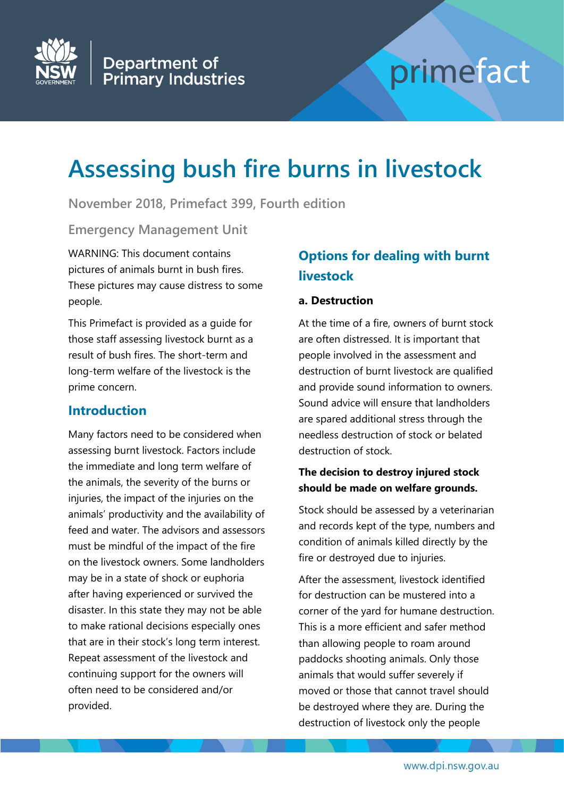

# primefact

# **Assessing bush fire burns in livestock**

**November 2018, Primefact 399, Fourth edition**

**Emergency Management Unit**

WARNING: This document contains pictures of animals burnt in bush fires. These pictures may cause distress to some people.

This Primefact is provided as a guide for those staff assessing livestock burnt as a result of bush fires. The short-term and long-term welfare of the livestock is the prime concern.

# **Introduction**

Many factors need to be considered when assessing burnt livestock. Factors include the immediate and long term welfare of the animals, the severity of the burns or injuries, the impact of the injuries on the animals' productivity and the availability of feed and water. The advisors and assessors must be mindful of the impact of the fire on the livestock owners. Some landholders may be in a state of shock or euphoria after having experienced or survived the disaster. In this state they may not be able to make rational decisions especially ones that are in their stock's long term interest. Repeat assessment of the livestock and continuing support for the owners will often need to be considered and/or provided.

# **Options for dealing with burnt livestock**

#### **a. Destruction**

At the time of a fire, owners of burnt stock are often distressed. It is important that people involved in the assessment and destruction of burnt livestock are qualified and provide sound information to owners. Sound advice will ensure that landholders are spared additional stress through the needless destruction of stock or belated destruction of stock.

#### **The decision to destroy injured stock should be made on welfare grounds.**

Stock should be assessed by a veterinarian and records kept of the type, numbers and condition of animals killed directly by the fire or destroyed due to injuries.

After the assessment, livestock identified for destruction can be mustered into a corner of the yard for humane destruction. This is a more efficient and safer method than allowing people to roam around paddocks shooting animals. Only those animals that would suffer severely if moved or those that cannot travel should be destroyed where they are. During the destruction of livestock only the people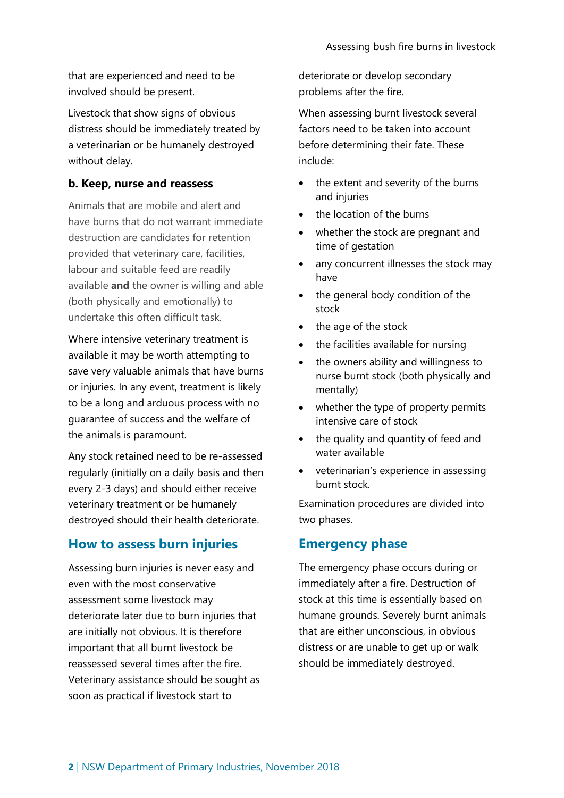that are experienced and need to be involved should be present.

Livestock that show signs of obvious distress should be immediately treated by a veterinarian or be humanely destroyed without delay.

#### **b. Keep, nurse and reassess**

Animals that are mobile and alert and have burns that do not warrant immediate destruction are candidates for retention provided that veterinary care, facilities, labour and suitable feed are readily available **and** the owner is willing and able (both physically and emotionally) to undertake this often difficult task.

Where intensive veterinary treatment is available it may be worth attempting to save very valuable animals that have burns or injuries. In any event, treatment is likely to be a long and arduous process with no guarantee of success and the welfare of the animals is paramount.

Any stock retained need to be re-assessed regularly (initially on a daily basis and then every 2-3 days) and should either receive veterinary treatment or be humanely destroyed should their health deteriorate.

#### **How to assess burn injuries**

Assessing burn injuries is never easy and even with the most conservative assessment some livestock may deteriorate later due to burn injuries that are initially not obvious. It is therefore important that all burnt livestock be reassessed several times after the fire. Veterinary assistance should be sought as soon as practical if livestock start to

deteriorate or develop secondary problems after the fire.

When assessing burnt livestock several factors need to be taken into account before determining their fate. These include:

- the extent and severity of the burns and injuries
- the location of the burns
- whether the stock are pregnant and time of gestation
- any concurrent illnesses the stock may have
- the general body condition of the stock
- the age of the stock
- the facilities available for nursing
- the owners ability and willingness to nurse burnt stock (both physically and mentally)
- whether the type of property permits intensive care of stock
- the quality and quantity of feed and water available
- veterinarian's experience in assessing burnt stock.

Examination procedures are divided into two phases.

#### **Emergency phase**

The emergency phase occurs during or immediately after a fire. Destruction of stock at this time is essentially based on humane grounds. Severely burnt animals that are either unconscious, in obvious distress or are unable to get up or walk should be immediately destroyed.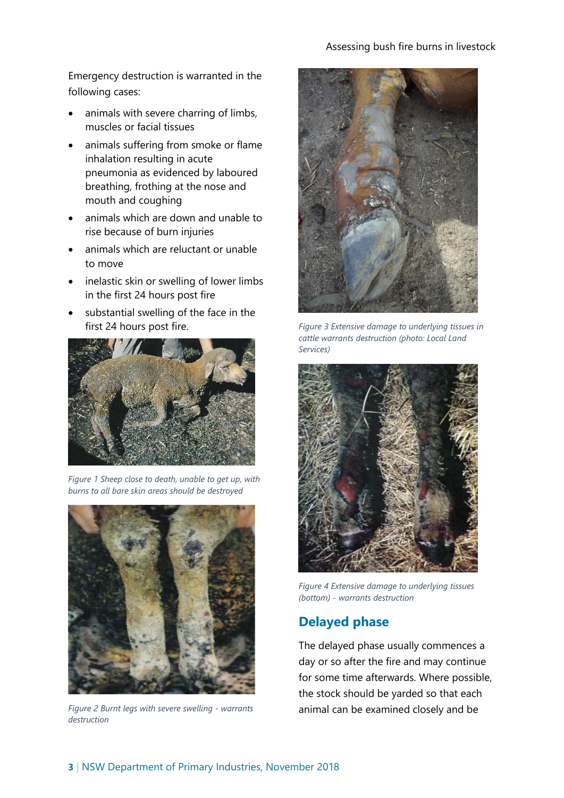Emergency destruction is warranted in the following cases:

- animals with severe charring of limbs, muscles or facial tissues
- animals suffering from smoke or flame inhalation resulting in acute pneumonia as evidenced by laboured breathing, frothing at the nose and mouth and coughing
- animals which are down and unable to rise because of burn injuries
- animals which are reluctant or unable to move
- inelastic skin or swelling of lower limbs in the first 24 hours post fire
- substantial swelling of the face in the first 24 hours post fire.



*Figure 1 Sheep close to death, unable to get up, with burns to all bare skin areas should be destroyed*



*Figure 2 Burnt legs with severe swelling - warrants destruction*



*Figure 3 Extensive damage to underlying tissues in cattle warrants destruction (photo: Local Land Services)*



*Figure 4 Extensive damage to underlying tissues (bottom) - warrants destruction*

# **Delayed phase**

The delayed phase usually commences a day or so after the fire and may continue for some time afterwards. Where possible, the stock should be yarded so that each animal can be examined closely and be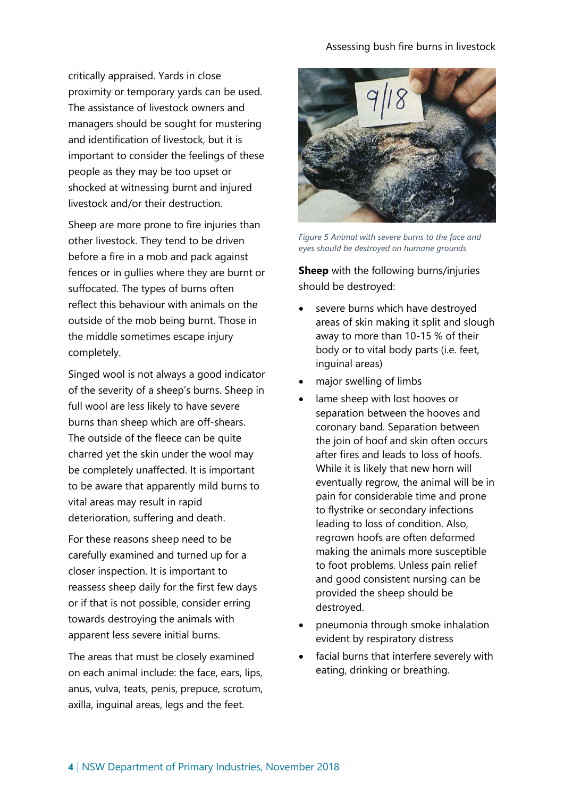#### Assessing bush fire burns in livestock

critically appraised. Yards in close proximity or temporary yards can be used. The assistance of livestock owners and managers should be sought for mustering and identification of livestock, but it is important to consider the feelings of these people as they may be too upset or shocked at witnessing burnt and injured livestock and/or their destruction.

Sheep are more prone to fire injuries than other livestock. They tend to be driven before a fire in a mob and pack against fences or in gullies where they are burnt or suffocated. The types of burns often reflect this behaviour with animals on the outside of the mob being burnt. Those in the middle sometimes escape injury completely.

Singed wool is not always a good indicator of the severity of a sheep's burns. Sheep in full wool are less likely to have severe burns than sheep which are off-shears. The outside of the fleece can be quite charred yet the skin under the wool may be completely unaffected. It is important to be aware that apparently mild burns to vital areas may result in rapid deterioration, suffering and death.

For these reasons sheep need to be carefully examined and turned up for a closer inspection. It is important to reassess sheep daily for the first few days or if that is not possible, consider erring towards destroying the animals with apparent less severe initial burns.

The areas that must be closely examined on each animal include: the face, ears, lips, anus, vulva, teats, penis, prepuce, scrotum, axilla, inguinal areas, legs and the feet.



*Figure 5 Animal with severe burns to the face and eyes should be destroyed on humane grounds*

**Sheep** with the following burns/injuries should be destroyed:

- severe burns which have destroyed areas of skin making it split and slough away to more than 10-15 % of their body or to vital body parts (i.e. feet, inguinal areas)
- major swelling of limbs
- lame sheep with lost hooves or separation between the hooves and coronary band. Separation between the join of hoof and skin often occurs after fires and leads to loss of hoofs. While it is likely that new horn will eventually regrow, the animal will be in pain for considerable time and prone to flystrike or secondary infections leading to loss of condition. Also, regrown hoofs are often deformed making the animals more susceptible to foot problems. Unless pain relief and good consistent nursing can be provided the sheep should be destroyed.
- pneumonia through smoke inhalation evident by respiratory distress
- facial burns that interfere severely with eating, drinking or breathing.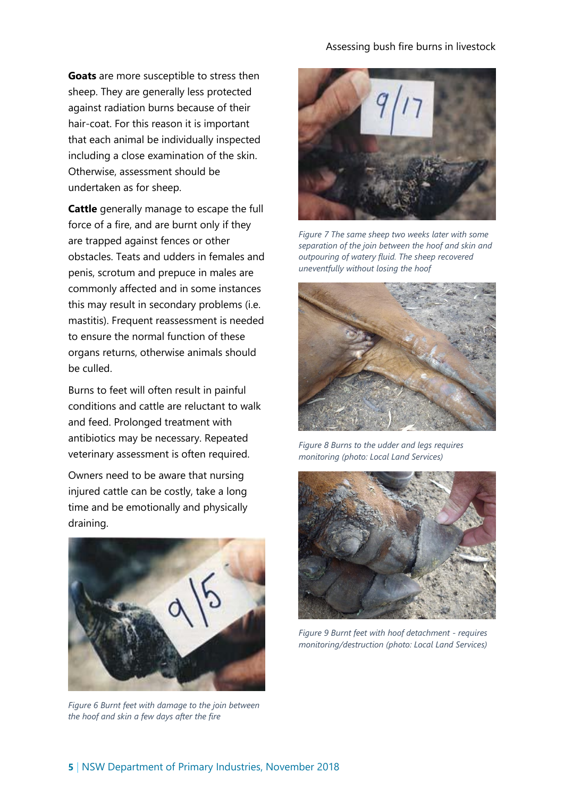#### Assessing bush fire burns in livestock

**Goats** are more susceptible to stress then sheep. They are generally less protected against radiation burns because of their hair-coat. For this reason it is important that each animal be individually inspected including a close examination of the skin. Otherwise, assessment should be undertaken as for sheep.

**Cattle** generally manage to escape the full force of a fire, and are burnt only if they are trapped against fences or other obstacles. Teats and udders in females and penis, scrotum and prepuce in males are commonly affected and in some instances this may result in secondary problems (i.e. mastitis). Frequent reassessment is needed to ensure the normal function of these organs returns, otherwise animals should be culled.

Burns to feet will often result in painful conditions and cattle are reluctant to walk and feed. Prolonged treatment with antibiotics may be necessary. Repeated veterinary assessment is often required.

Owners need to be aware that nursing injured cattle can be costly, take a long time and be emotionally and physically draining.



*Figure 6 Burnt feet with damage to the join between the hoof and skin a few days after the fire*



*Figure 7 The same sheep two weeks later with some separation of the join between the hoof and skin and outpouring of watery fluid. The sheep recovered uneventfully without losing the hoof*



*Figure 8 Burns to the udder and legs requires monitoring (photo: Local Land Services)*



*Figure 9 Burnt feet with hoof detachment - requires monitoring/destruction (photo: Local Land Services)*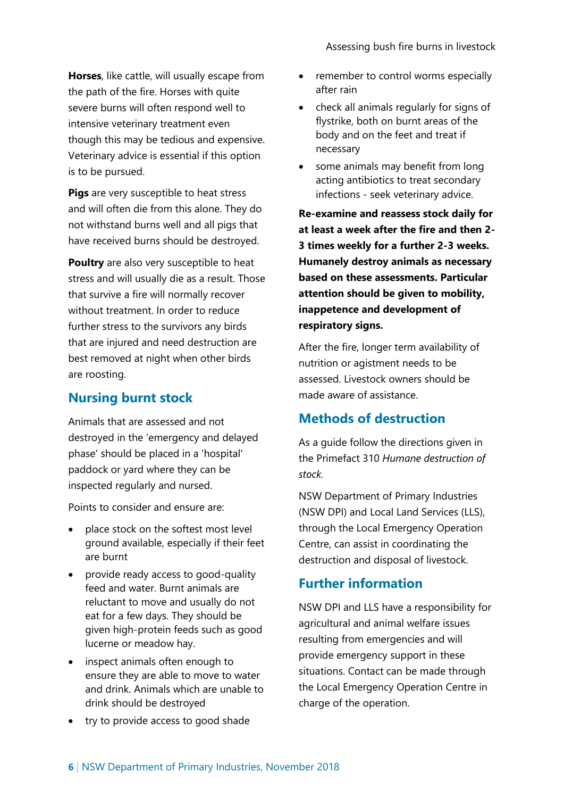**Horses**, like cattle, will usually escape from the path of the fire. Horses with quite severe burns will often respond well to intensive veterinary treatment even though this may be tedious and expensive. Veterinary advice is essential if this option is to be pursued.

**Pigs** are very susceptible to heat stress and will often die from this alone. They do not withstand burns well and all pigs that have received burns should be destroyed.

**Poultry** are also very susceptible to heat stress and will usually die as a result. Those that survive a fire will normally recover without treatment. In order to reduce further stress to the survivors any birds that are injured and need destruction are best removed at night when other birds are roosting.

### **Nursing burnt stock**

Animals that are assessed and not destroyed in the 'emergency and delayed phase' should be placed in a 'hospital' paddock or yard where they can be inspected regularly and nursed.

Points to consider and ensure are:

- place stock on the softest most level ground available, especially if their feet are burnt
- provide ready access to good-quality feed and water. Burnt animals are reluctant to move and usually do not eat for a few days. They should be given high-protein feeds such as good lucerne or meadow hay.
- inspect animals often enough to ensure they are able to move to water and drink. Animals which are unable to drink should be destroyed
- try to provide access to good shade
- remember to control worms especially after rain
- check all animals regularly for signs of flystrike, both on burnt areas of the body and on the feet and treat if necessary
- some animals may benefit from long acting antibiotics to treat secondary infections - seek veterinary advice.

**Re-examine and reassess stock daily for at least a week after the fire and then 2- 3 times weekly for a further 2-3 weeks. Humanely destroy animals as necessary based on these assessments. Particular attention should be given to mobility, inappetence and development of respiratory signs.**

After the fire, longer term availability of nutrition or agistment needs to be assessed. Livestock owners should be made aware of assistance.

#### **Methods of destruction**

As a guide follow the directions given in the Primefact 310 *Humane destruction of stock.*

NSW Department of Primary Industries (NSW DPI) and Local Land Services (LLS), through the Local Emergency Operation Centre, can assist in coordinating the destruction and disposal of livestock.

# **Further information**

NSW DPI and LLS have a responsibility for agricultural and animal welfare issues resulting from emergencies and will provide emergency support in these situations. Contact can be made through the Local Emergency Operation Centre in charge of the operation.